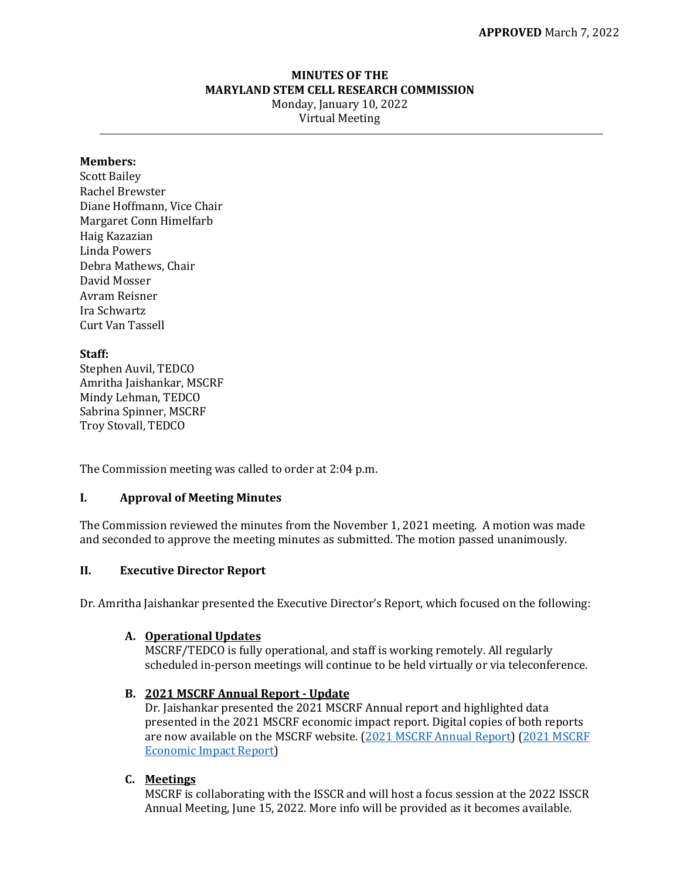## **MINUTES OF THE MARYLAND STEM CELL RESEARCH COMMISSION** Monday, January 10, 2022 Virtual Meeting

#### **Members:**

Scott Bailey Rachel Brewster Diane Hoffmann, Vice Chair Margaret Conn Himelfarb Haig Kazazian Linda Powers Debra Mathews, Chair David Mosser Avram Reisner Ira Schwartz Curt Van Tassell

### **Staff:**

Stephen Auvil, TEDCO Amritha Jaishankar, MSCRF Mindy Lehman, TEDCO Sabrina Spinner, MSCRF Troy Stovall, TEDCO

The Commission meeting was called to order at 2:04 p.m.

### **I. Approval of Meeting Minutes**

The Commission reviewed the minutes from the November 1, 2021 meeting. A motion was made and seconded to approve the meeting minutes as submitted. The motion passed unanimously.

#### **II. Executive Director Report**

Dr. Amritha Jaishankar presented the Executive Director's Report, which focused on the following:

### **A. Operational Updates**

MSCRF/TEDCO is fully operational, and staff is working remotely. All regularly scheduled in-person meetings will continue to be held virtually or via teleconference.

#### **B. 2021 MSCRF Annual Report - Update**

Dr. Jaishankar presented the 2021 MSCRF Annual report and highlighted data presented in the 2021 MSCRF economic impact report. Digital copies of both reports are now available on the MSCRF website. [\(2021 MSCRF Annual Report\)](https://www.mscrf.org/sites/default/files/annual-reports/2022-01/2021%20MSCRF%20Annual%20Report%20%28web%29%20.pdf) [\(2021 MSCRF](https://www.mscrf.org/sites/default/files/annual-reports/2021-12/Sage_MSCRF_Final.pdf) [Economic Impact Report\)](https://www.mscrf.org/sites/default/files/annual-reports/2021-12/Sage_MSCRF_Final.pdf)

### **C. Meetings**

MSCRF is collaborating with the ISSCR and will host a focus session at the 2022 ISSCR Annual Meeting, June 15, 2022. More info will be provided as it becomes available.